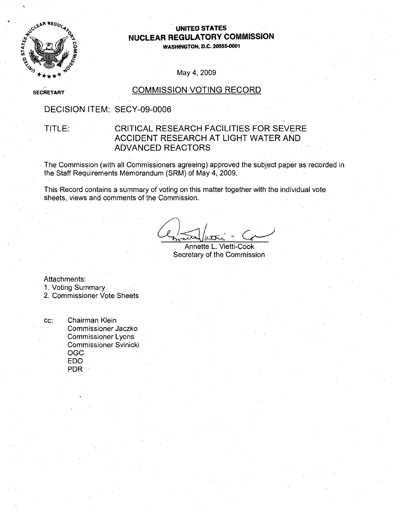

### **UNITED STATES NUCLEAR** REGULATORY **COMMISSION**

**WASHINGTON, D.C.** 20555-0001

May 4, 2009

**SECRETARY** 

### COMMISSION VOTING RECORD

### DECISION ITEM: SECY-09-0006

### TITLE: CRITICAL RESEARCH FACILITIES FOR SEVERE ACCIDENT RESEARCH AT LIGHT WATER AND ADVANCED REACTORS

The Commission (with all Commissioners agreeing) approved the subject paper as recorded in the Staff Requirements Memorandum (SRM) of May 4, 2009.

This Record contains a summary of voting on this matter together with the individual vote sheets, views and comments of the Commission.

Annette L. Vietti-Cook Secretary of the Commission

Attachments:

1. Voting Summary

2. Commissioner Vote Sheets

cc: Chairman Klein Commissioner Jaczko Commissioner Lyons Commissioner Svinicki **OGC EDO** PDR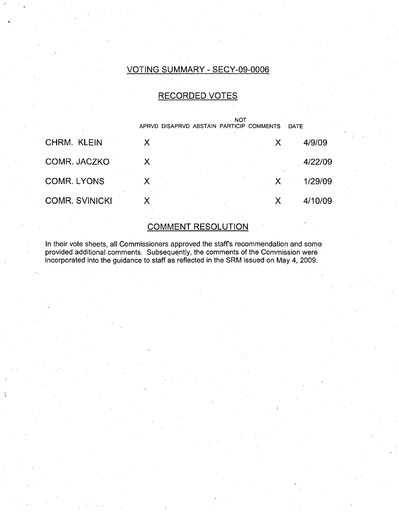### VOTING SUMMARY - SECY-09-0006

### RECORDED VOTES

|                       | APRVD DISAPRVD ABSTAIN PARTICIP COMMENTS | <b>NOT</b>   | DATE    |
|-----------------------|------------------------------------------|--------------|---------|
| CHRM. KLEIN           | Х                                        | Х            | 4/9/09  |
| COMR. JACZKO          | X                                        |              | 4/22/09 |
| <b>COMR. LYONS</b>    |                                          | $\mathsf{X}$ | 1/29/09 |
| <b>COMR. SVINICKI</b> |                                          |              | 4/10/09 |

## COMMENT RESOLUTION

In their vote sheets, all Commissioners approved the staff's recommendation and some provided additional comments. Subsequently, the comments of the Commission were incorporated into the guidance to staff as reflected in the SRM issued on May 4, 2009.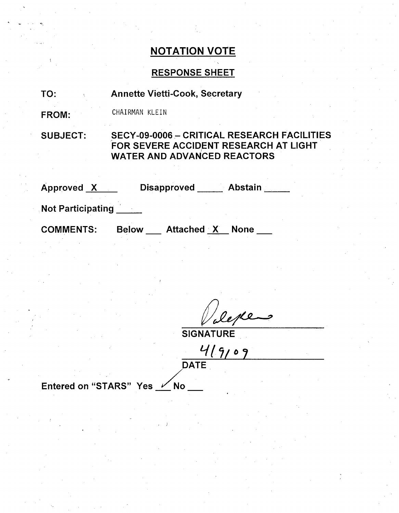### RESPONSE SHEET

| TO: | <b>Annette Vietti-Cook, Secretary</b> |  |
|-----|---------------------------------------|--|
|     |                                       |  |

FROM: CHAIRMAN KLEIN

SUBJECT: SECY-09-0006 - CRITICAL RESEARCH FACILITIES FOR SEVERE ACCIDENT RESEARCH AT LIGHT WATER AND ADVANCED REACTORS

| Approved X               | <b>Disapproved</b><br><b>Abstain</b>             |
|--------------------------|--------------------------------------------------|
| <b>Not Participating</b> |                                                  |
| <b>COMMENTS:</b>         | <b>Attached X</b><br><b>Below</b><br><b>None</b> |

epte

**SIGNATURE** 

 $419109$ **DATE** 

Entered on "STARS" Yes  $\swarrow$  No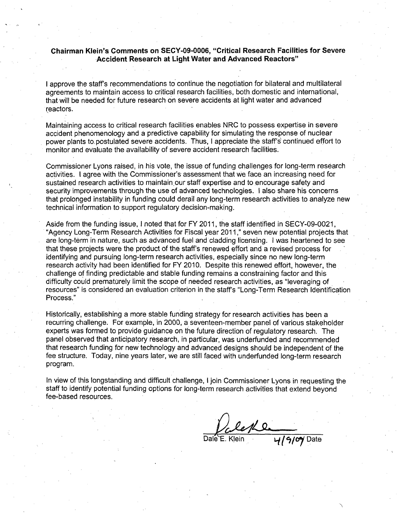### Chairman Klein's Comments on **SECY-09-0006,** "Critical Research Facilities for Severe Accident Research at Light Water and Advanced Reactors"

I approve the staff's recommendations to continue the negotiation for bilateral and multilateral agreements to maintain access to critical research facilities, both domestic and international, that will be needed for future research on severe accidents at light water and advanced reactors.

Maintaining access to critical research facilities enables NRC to possess expertise in severe accident phenomenology and a predictive capability for simulating the response of nuclear power plants to, postulated severe accidents. Thus, I appreciate the staff's continued effort to monitor and evaluate the availability of severe accident research facilities.

Commissioner Lyons raised, in his vote, the issue of funding challenges for long-term research activities. I agree with the Commissioner's assessment that we face an increasing need for sustained research activities to maintain our staff expertise and to encourage safety and security improvements through the use of advanced technologies. I also share his concerns that prolonged instability in funding could derail any long-term research activities to analyze new technical information to support regulatory decision-making.

Aside from the funding issue, I noted that for FY 2011, the staff identified in SECY-09-0021, "Agency Long-Term Research Activities for Fiscal year 2011," seven new potential projects that are long-term in nature, such as advanced fuel and cladding licensing. I was heartened to see that these projects were the product of the staff's renewed effort and a revised process for identifying and pursuing long-term research activities, especially since no new long-term research activity had been identified for FY 2010. Despite this renewed effort, however, the challenge of finding predictable and stable funding remains a constraining factor and this difficulty could prematurely limit the scope of needed research activities, as "leveraging of resources" is considered an evaluation criterion in the staff's "Long-Term Research Identification Process."

Historically, establishing a more stable funding strategy for research activities has been a recurring challenge. For example, in 2000, a seventeen-member panel of various stakeholder experts was formed to provide guidance on the future direction of regulatory research. The panel observed that anticipatory research, in particular, was underfunded and recommended that research funding for new technology and advanced designs should be independent of the fee structure. Today, nine years later, we are still faced with underfunded long-term research program.

In view of this longstanding and difficult challenge, I join Commissioner Lyons in requesting the staff to identify potential funding options for long-term research activities that extend beyond fee-based resources.

leke

Dale E. Klein **4/9/09** Date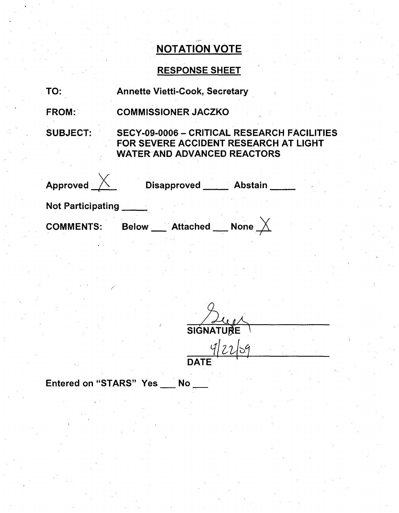## RESPONSE SHEET

|  | <b>Annette Vietti-Cook, Secretary</b> |  |
|--|---------------------------------------|--|
|--|---------------------------------------|--|

FROM: COMMISSIONER JACZKO

SUBJECT:

TO:

SECY-09-0006 - CRITICAL RESEARCH FACILITIES FOR SEVERE ACCIDENT RESEARCH AT LIGHT WATER AND ADVANCED REACTORS

| Approved                 | <b>Disapproved</b>              | <b>Abstain</b> |
|--------------------------|---------------------------------|----------------|
| <b>Not Participating</b> |                                 |                |
| <b>COMMENTS:</b>         | <b>Attached</b><br><b>Below</b> | <b>None</b>    |

**SIGNATURE**  $42259$ 

**DATE** 

Entered on "STARS" Yes No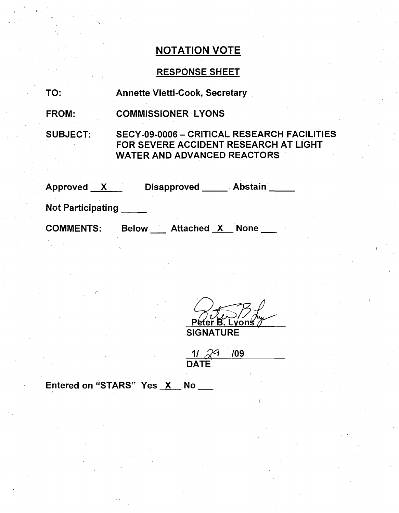### RESPONSE SHEET

| TO: |  | <b>Annette Vietti-Cook, Secretary</b> |  |
|-----|--|---------------------------------------|--|
|-----|--|---------------------------------------|--|

FROM: COMMISSIONER LYONS

SUBJECT:

SECY-09-0006 - CRITICAL RESEARCH FACILITIES FOR SEVERE ACCIDENT RESEARCH AT LIGHT WATER AND ADVANCED REACTORS

| Approved                 |              | <b>Disapproved</b> | <b>Abstain</b> |  |
|--------------------------|--------------|--------------------|----------------|--|
| <b>Not Participating</b> |              |                    |                |  |
| <b>COMMENTS:</b>         | <b>Below</b> | <b>Attached X</b>  | <b>None</b>    |  |

'eter B ons' **SIGNATURE** 

| $\gamma$ G  | 709 |  |
|-------------|-----|--|
| <b>DATE</b> |     |  |

Entered on "STARS" Yes X No \_\_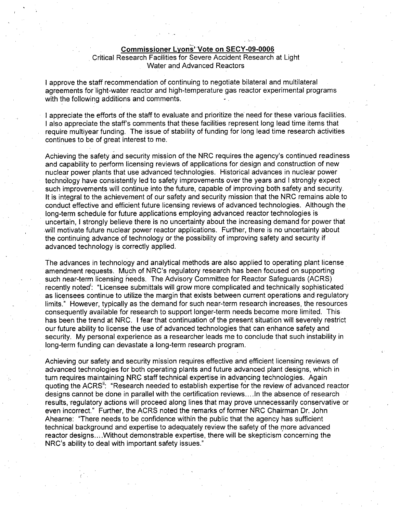#### Commissioner Lyons"Vote on **SECY-09-0006**

### Critical Research Facilities for Severe Accident Research at Light Water and Advanced Reactors

I approve the staff recommendation of continuing to negotiate bilateral and multilateral agreements for light-water reactor and high-temperature gas reactor experimental programs with the following additions and comments.

I appreciate the efforts of the staff to evaluate and prioritize the need for these various facilities. I also appreciate the staff's comments that these facilities represent long lead time items that require multiyear funding. The issue of stability of funding for long lead time research activities continues to be of great interest to me.

Achieving the safety and security mission of the NRC requires the agency's continued readiness and capability to perform licensing reviews of applications for design and construction of new nuclear power plants that use advanced technologies. Historical advances in nuclear power technology have consistently led to safety improvements over the years and I strongly expect such improvements will continue into the future, capable of improving both safety and security. It is integral to the achievement of our safety and security mission that the NRC remains able to conduct effective and efficient future licensing reviews of advanced technologies. Although the long-term schedule for future applications employing advanced reactor technologies is uncertain, I strongly believe there is no uncertainty about the increasing demand for power that will motivate future nuclear power reactor applications. Further, there is no uncertainty about the continuing advance of technology or the possibility of improving safety and security if advanced technology is correctly applied.

The advances in technology and analytical methods are also applied to operating plant license amendment requests. Much of NRC's regulatory research has been focused on supporting such near-term licensing needs. The Advisory Committee for Reactor Safeguards (ACRS) recently noted': "Licensee submittals will grow more complicated and technically sophisticated as licensees continue to utilize the margin that exists between current operations and regulatory limits." However, typically as the demand for such near-term research increases, the resources consequently available for research to support longer-term needs become more limited. This has been the trend at NRC. I fear that continuation of the present situation will severely restrict our future ability to license the use of advanced technologies that can enhance safety and security. My personal experience as a researcher leads me to conclude that such instability in long-term funding can devastate a long-term research program.

Achieving our safety and security mission requires effective and efficient licensing reviews of advanced technologies for both operating plants and future advanced plant designs, which in turn requires maintaining NRC staff technical expertise in advancing technologies. Again quoting the ACRS": "Research needed to establish expertise for the review of advanced reactor designs cannot be done in parallel with the certification reviews .... In the absence of research results, regulatory actions will proceed along lines that may prove unnecessarily conservative or even incorrect." Further, the ACRS noted the remarks of former NRC Chairman Dr. John Ahearne: "There needs to be confidence within the public that the agency has sufficient technical background and expertise to adequately review the safety of the more advanced reactor designs....Without demonstrable expertise, there will be skepticism concerning the NRC's ability to deal with important safety issues."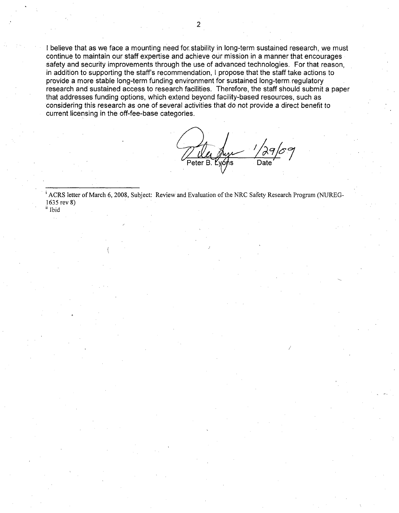I believe that as we face a mounting need for, stability in long-term sustained research, we must continue to maintain our staff expertise and achieve our mission in a manner that encourages safety and security improvements through the use of advanced technologies. For that reason, in addition to supporting the staff's recommendation, I propose that the staff take actions to provide a more stable long-term funding environment for sustained long-term regulatory research and sustained access to research facilities. Therefore, the staff should submit a paper that addresses funding options, which extend beyond facility-based resources, such as considering this research as one of several activities that do not provide a direct benefit to current licensing in the off-fee-base categories.

Peter B. Lyons

<sup>i</sup> ACRS letter of March 6, 2008, Subject: Review and Evaluation of the NRC Safety Research Program (NUREG-1635 rev 8) i Ibid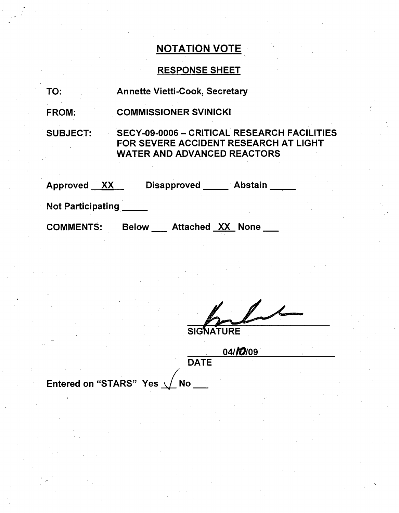## RESPONSE SHEET

| TO:                      | <b>Annette Vietti-Cook, Secretary</b>                                                                                             |
|--------------------------|-----------------------------------------------------------------------------------------------------------------------------------|
| <b>FROM:</b>             | <b>COMMISSIONER SVINICKI</b>                                                                                                      |
| <b>SUBJECT:</b>          | <b>SECY-09-0006 - CRITICAL RESEARCH FACILITIES</b><br>FOR SEVERE ACCIDENT RESEARCH AT LIGHT<br><b>WATER AND ADVANCED REACTORS</b> |
| Approved XX              | <b>Disapproved</b><br><b>Abstain</b>                                                                                              |
| <b>Not Participating</b> |                                                                                                                                   |
| <b>COMMENTS:</b>         | <b>Attached XX None</b><br><b>Below</b>                                                                                           |

 $\overline{\mathcal{L}}$ SIGNATURE

|      | 04/ <i>10</i> /09 |
|------|-------------------|
| DATE |                   |

Entered on "STARS" Yes  $\sqrt{}$  No  $\blacksquare$